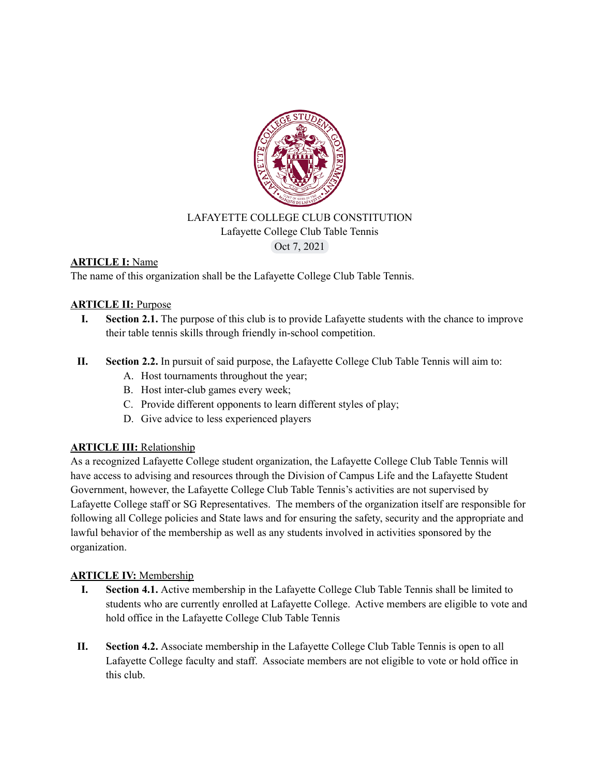

#### LAFAYETTE COLLEGE CLUB CONSTITUTION Lafayette College Club Table Tennis Oct 7, 2021

# **ARTICLE I:** Name

The name of this organization shall be the Lafayette College Club Table Tennis.

#### **ARTICLE II:** Purpose

- **I. Section 2.1.** The purpose of this club is to provide Lafayette students with the chance to improve their table tennis skills through friendly in-school competition.
- **II. Section 2.2.** In pursuit of said purpose, the Lafayette College Club Table Tennis will aim to:
	- A. Host tournaments throughout the year;
	- B. Host inter-club games every week;
	- C. Provide different opponents to learn different styles of play;
	- D. Give advice to less experienced players

# **ARTICLE III:** Relationship

As a recognized Lafayette College student organization, the Lafayette College Club Table Tennis will have access to advising and resources through the Division of Campus Life and the Lafayette Student Government, however, the Lafayette College Club Table Tennis's activities are not supervised by Lafayette College staff or SG Representatives. The members of the organization itself are responsible for following all College policies and State laws and for ensuring the safety, security and the appropriate and lawful behavior of the membership as well as any students involved in activities sponsored by the organization.

#### **ARTICLE IV:** Membership

- **I. Section 4.1.** Active membership in the Lafayette College Club Table Tennis shall be limited to students who are currently enrolled at Lafayette College. Active members are eligible to vote and hold office in the Lafayette College Club Table Tennis
- **II. Section 4.2.** Associate membership in the Lafayette College Club Table Tennis is open to all Lafayette College faculty and staff. Associate members are not eligible to vote or hold office in this club.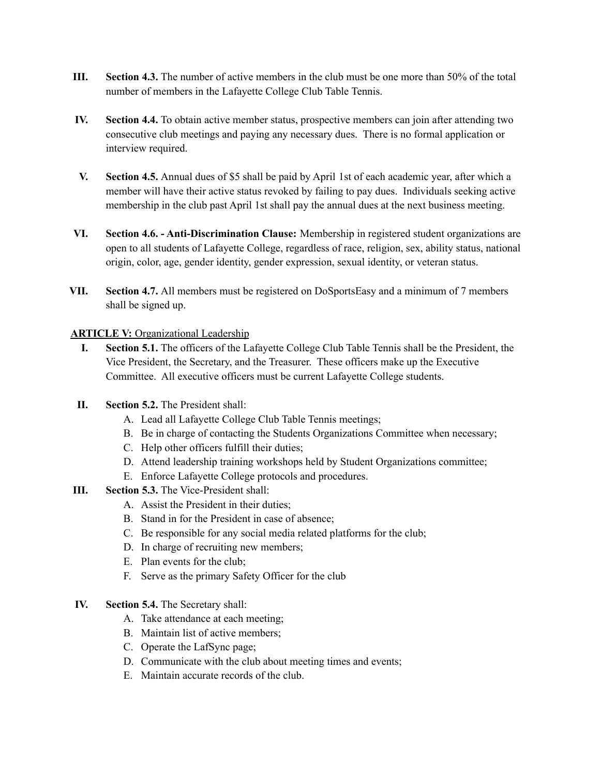- **III. Section 4.3.** The number of active members in the club must be one more than 50% of the total number of members in the Lafayette College Club Table Tennis.
- **IV. Section 4.4.** To obtain active member status, prospective members can join after attending two consecutive club meetings and paying any necessary dues. There is no formal application or interview required.
- **V. Section 4.5.** Annual dues of \$5 shall be paid by April 1st of each academic year, after which a member will have their active status revoked by failing to pay dues. Individuals seeking active membership in the club past April 1st shall pay the annual dues at the next business meeting.
- **VI. Section 4.6. - Anti-Discrimination Clause:** Membership in registered student organizations are open to all students of Lafayette College, regardless of race, religion, sex, ability status, national origin, color, age, gender identity, gender expression, sexual identity, or veteran status.
- **VII. Section 4.7.** All members must be registered on DoSportsEasy and a minimum of 7 members shall be signed up.

#### **ARTICLE V:** Organizational Leadership

- **I. Section 5.1.** The officers of the Lafayette College Club Table Tennis shall be the President, the Vice President, the Secretary, and the Treasurer. These officers make up the Executive Committee. All executive officers must be current Lafayette College students.
- **II. Section 5.2.** The President shall:
	- A. Lead all Lafayette College Club Table Tennis meetings;
	- B. Be in charge of contacting the Students Organizations Committee when necessary;
	- C. Help other officers fulfill their duties;
	- D. Attend leadership training workshops held by Student Organizations committee;
	- E. Enforce Lafayette College protocols and procedures.
- **III. Section 5.3.** The Vice-President shall:
	- A. Assist the President in their duties;
	- B. Stand in for the President in case of absence;
	- C. Be responsible for any social media related platforms for the club;
	- D. In charge of recruiting new members;
	- E. Plan events for the club;
	- F. Serve as the primary Safety Officer for the club
- **IV. Section 5.4.** The Secretary shall:
	- A. Take attendance at each meeting;
	- B. Maintain list of active members;
	- C. Operate the LafSync page;
	- D. Communicate with the club about meeting times and events;
	- E. Maintain accurate records of the club.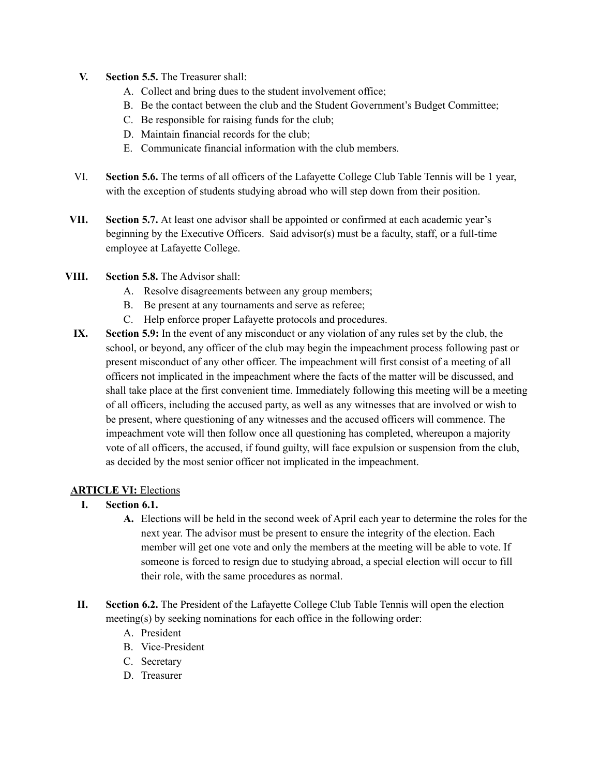- **V. Section 5.5.** The Treasurer shall:
	- A. Collect and bring dues to the student involvement office;
	- B. Be the contact between the club and the Student Government's Budget Committee;
	- C. Be responsible for raising funds for the club;
	- D. Maintain financial records for the club;
	- E. Communicate financial information with the club members.
- VI. **Section 5.6.** The terms of all officers of the Lafayette College Club Table Tennis will be 1 year, with the exception of students studying abroad who will step down from their position.
- **VII. Section 5.7.** At least one advisor shall be appointed or confirmed at each academic year's beginning by the Executive Officers. Said advisor(s) must be a faculty, staff, or a full-time employee at Lafayette College.
- **VIII. Section 5.8.** The Advisor shall:
	- A. Resolve disagreements between any group members;
	- B. Be present at any tournaments and serve as referee;
	- C. Help enforce proper Lafayette protocols and procedures.
	- **IX. Section 5.9:** In the event of any misconduct or any violation of any rules set by the club, the school, or beyond, any officer of the club may begin the impeachment process following past or present misconduct of any other officer. The impeachment will first consist of a meeting of all officers not implicated in the impeachment where the facts of the matter will be discussed, and shall take place at the first convenient time. Immediately following this meeting will be a meeting of all officers, including the accused party, as well as any witnesses that are involved or wish to be present, where questioning of any witnesses and the accused officers will commence. The impeachment vote will then follow once all questioning has completed, whereupon a majority vote of all officers, the accused, if found guilty, will face expulsion or suspension from the club, as decided by the most senior officer not implicated in the impeachment.

#### **ARTICLE VI:** Elections

- **I. Section 6.1.**
	- **A.** Elections will be held in the second week of April each year to determine the roles for the next year. The advisor must be present to ensure the integrity of the election. Each member will get one vote and only the members at the meeting will be able to vote. If someone is forced to resign due to studying abroad, a special election will occur to fill their role, with the same procedures as normal.
- **II. Section 6.2.** The President of the Lafayette College Club Table Tennis will open the election meeting(s) by seeking nominations for each office in the following order:
	- A. President
	- B. Vice-President
	- C. Secretary
	- D. Treasurer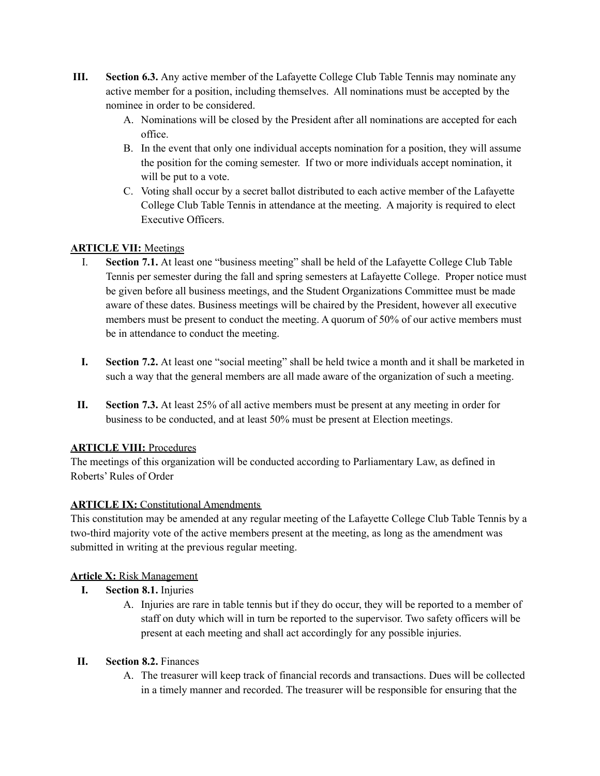- **III. Section 6.3.** Any active member of the Lafayette College Club Table Tennis may nominate any active member for a position, including themselves. All nominations must be accepted by the nominee in order to be considered.
	- A. Nominations will be closed by the President after all nominations are accepted for each office.
	- B. In the event that only one individual accepts nomination for a position, they will assume the position for the coming semester. If two or more individuals accept nomination, it will be put to a vote.
	- C. Voting shall occur by a secret ballot distributed to each active member of the Lafayette College Club Table Tennis in attendance at the meeting. A majority is required to elect Executive Officers.

# **ARTICLE VII:** Meetings

- I. **Section 7.1.** At least one "business meeting" shall be held of the Lafayette College Club Table Tennis per semester during the fall and spring semesters at Lafayette College. Proper notice must be given before all business meetings, and the Student Organizations Committee must be made aware of these dates. Business meetings will be chaired by the President, however all executive members must be present to conduct the meeting. A quorum of 50% of our active members must be in attendance to conduct the meeting.
- **I. Section 7.2.** At least one "social meeting" shall be held twice a month and it shall be marketed in such a way that the general members are all made aware of the organization of such a meeting.
- **II. Section 7.3.** At least 25% of all active members must be present at any meeting in order for business to be conducted, and at least 50% must be present at Election meetings.

# **ARTICLE VIII:** Procedures

The meetings of this organization will be conducted according to Parliamentary Law, as defined in Roberts' Rules of Order

# **ARTICLE IX:** Constitutional Amendments

This constitution may be amended at any regular meeting of the Lafayette College Club Table Tennis by a two-third majority vote of the active members present at the meeting, as long as the amendment was submitted in writing at the previous regular meeting.

# **Article X:** Risk Management

- **I. Section 8.1.** Injuries
	- A. Injuries are rare in table tennis but if they do occur, they will be reported to a member of staff on duty which will in turn be reported to the supervisor. Two safety officers will be present at each meeting and shall act accordingly for any possible injuries.

# **II. Section 8.2.** Finances

A. The treasurer will keep track of financial records and transactions. Dues will be collected in a timely manner and recorded. The treasurer will be responsible for ensuring that the